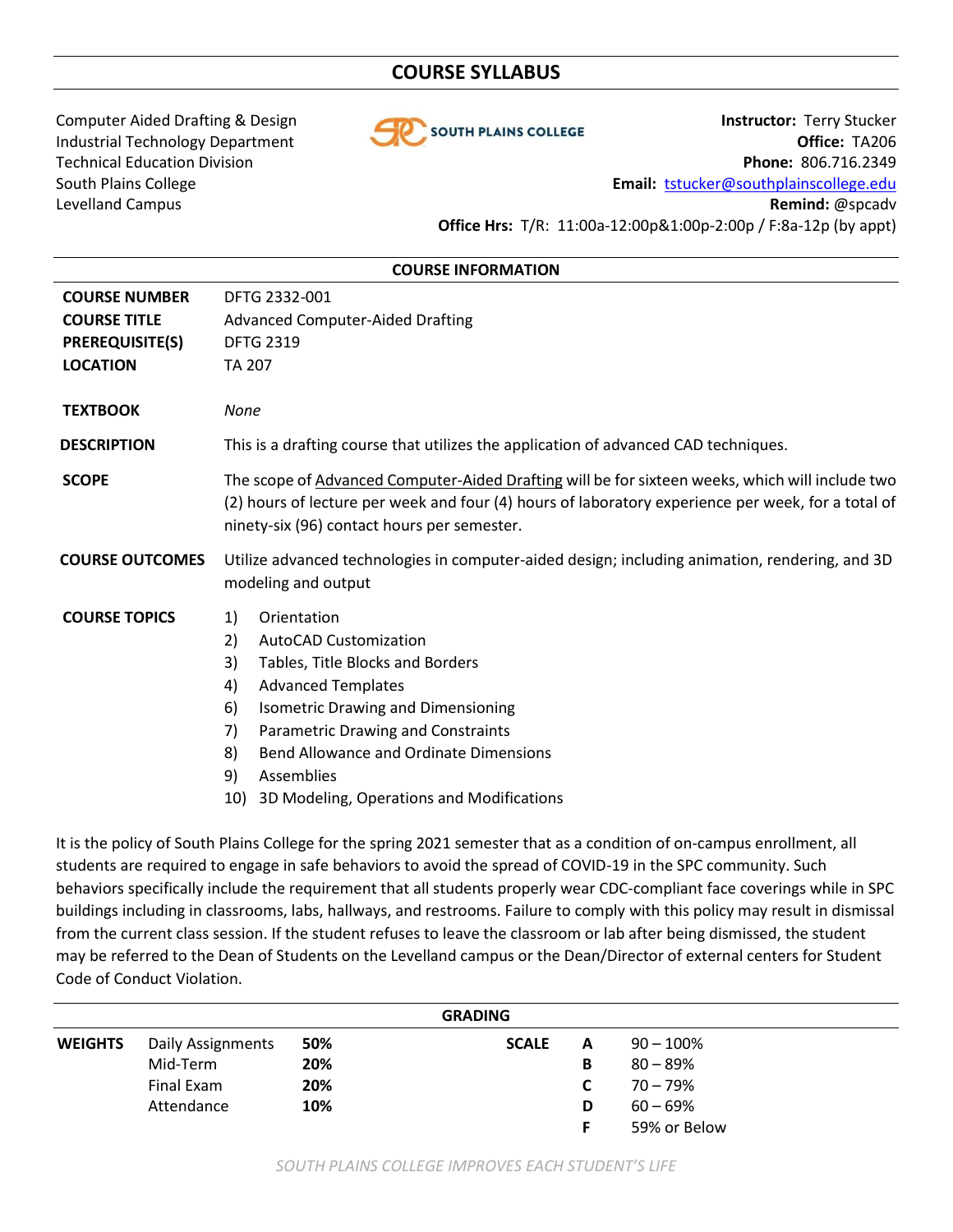# **COURSE SYLLABUS**



Computer Aided Drafting & Design **Instructor:** Terry Stucker Industrial Technology Department **Office:** TA206 Technical Education Division **Phone:** 806.716.2349 South Plains College **Email:** [tstucker@southplainscollege.edu](mailto:tstucker@southplainscollege.edu) Levelland Campus **Remind:** @spcadv **Office Hrs:** T/R: 11:00a-12:00p&1:00p-2:00p / F:8a-12p (by appt)

### **COURSE INFORMATION**

| <b>COURSE NUMBER</b><br><b>COURSE TITLE</b><br><b>PREREQUISITE(S)</b><br><b>LOCATION</b> | DFTG 2332-001<br><b>Advanced Computer-Aided Drafting</b><br><b>DFTG 2319</b><br><b>TA 207</b>                                                                                                                                                                                                                                                                      |  |  |  |  |
|------------------------------------------------------------------------------------------|--------------------------------------------------------------------------------------------------------------------------------------------------------------------------------------------------------------------------------------------------------------------------------------------------------------------------------------------------------------------|--|--|--|--|
| <b>TEXTBOOK</b>                                                                          | None                                                                                                                                                                                                                                                                                                                                                               |  |  |  |  |
| <b>DESCRIPTION</b>                                                                       | This is a drafting course that utilizes the application of advanced CAD techniques.                                                                                                                                                                                                                                                                                |  |  |  |  |
| <b>SCOPE</b>                                                                             | The scope of Advanced Computer-Aided Drafting will be for sixteen weeks, which will include two<br>(2) hours of lecture per week and four (4) hours of laboratory experience per week, for a total of<br>ninety-six (96) contact hours per semester.                                                                                                               |  |  |  |  |
| <b>COURSE OUTCOMES</b>                                                                   | Utilize advanced technologies in computer-aided design; including animation, rendering, and 3D<br>modeling and output                                                                                                                                                                                                                                              |  |  |  |  |
| <b>COURSE TOPICS</b>                                                                     | Orientation<br>1)<br><b>AutoCAD Customization</b><br>2)<br>3)<br>Tables, Title Blocks and Borders<br><b>Advanced Templates</b><br>4)<br><b>Isometric Drawing and Dimensioning</b><br>6)<br>Parametric Drawing and Constraints<br>7)<br><b>Bend Allowance and Ordinate Dimensions</b><br>8)<br>9)<br>Assemblies<br>3D Modeling, Operations and Modifications<br>10) |  |  |  |  |

It is the policy of South Plains College for the spring 2021 semester that as a condition of on-campus enrollment, all students are required to engage in safe behaviors to avoid the spread of COVID-19 in the SPC community. Such behaviors specifically include the requirement that all students properly wear CDC-compliant face coverings while in SPC buildings including in classrooms, labs, hallways, and restrooms. Failure to comply with this policy may result in dismissal from the current class session. If the student refuses to leave the classroom or lab after being dismissed, the student may be referred to the Dean of Students on the Levelland campus or the Dean/Director of external centers for Student Code of Conduct Violation.

| <b>GRADING</b> |                   |     |              |   |              |  |
|----------------|-------------------|-----|--------------|---|--------------|--|
| <b>WEIGHTS</b> | Daily Assignments | 50% | <b>SCALE</b> | A | $90 - 100\%$ |  |
|                | Mid-Term          | 20% |              | В | $80 - 89\%$  |  |
|                | Final Exam        | 20% |              |   | $70 - 79%$   |  |
|                | Attendance        | 10% |              | D | $60 - 69\%$  |  |
|                |                   |     |              |   | 59% or Below |  |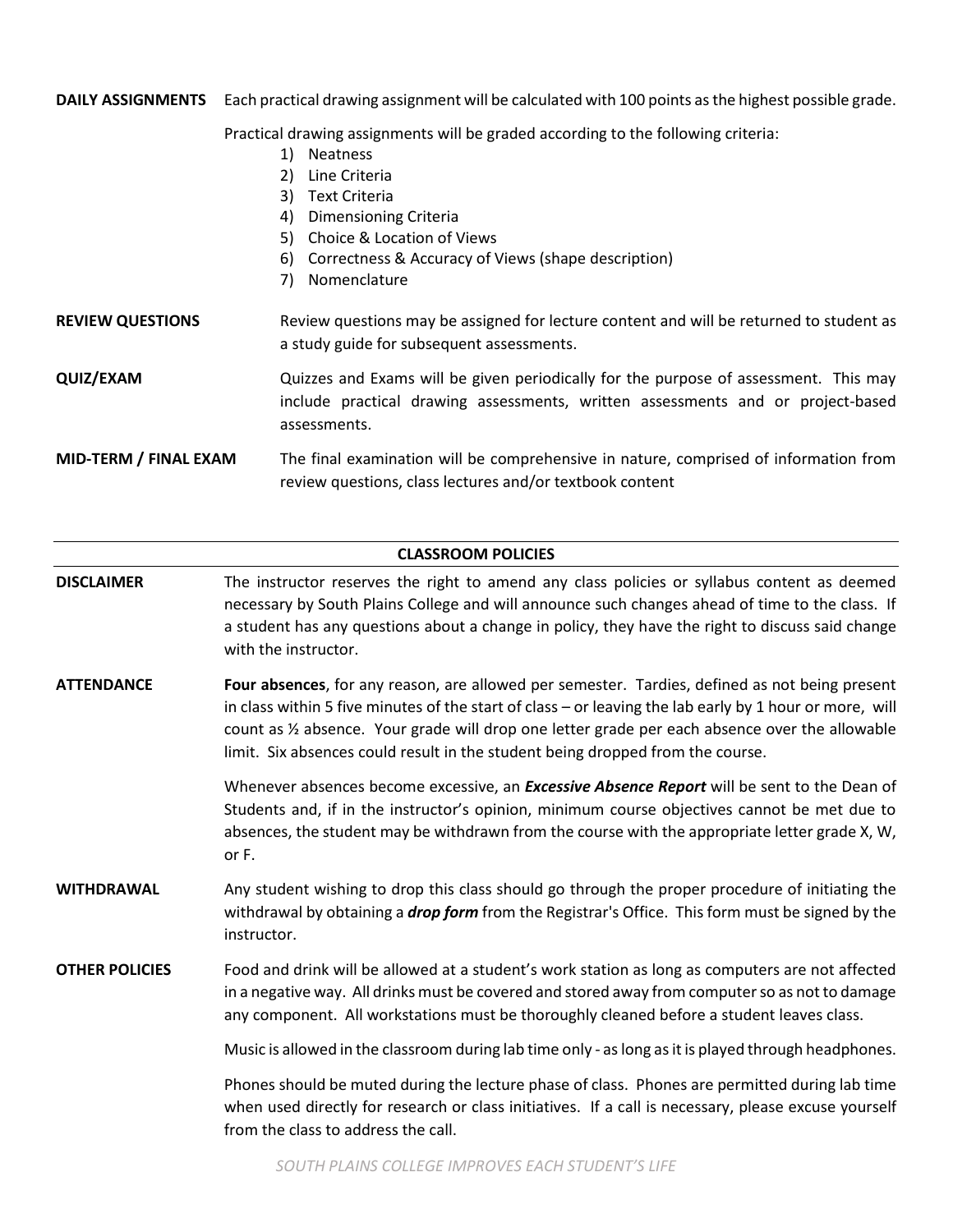**DAILY ASSIGNMENTS** Each practical drawing assignment will be calculated with 100 points as the highest possible grade. Practical drawing assignments will be graded according to the following criteria: 1) Neatness 2) Line Criteria 3) Text Criteria 4) Dimensioning Criteria 5) Choice & Location of Views 6) Correctness & Accuracy of Views (shape description) 7) Nomenclature **REVIEW QUESTIONS** Review questions may be assigned for lecture content and will be returned to student as a study guide for subsequent assessments. **QUIZ/EXAM** Quizzes and Exams will be given periodically for the purpose of assessment. This may include practical drawing assessments, written assessments and or project-based assessments.

**MID-TERM / FINAL EXAM** The final examination will be comprehensive in nature, comprised of information from review questions, class lectures and/or textbook content

# **CLASSROOM POLICIES**

- **DISCLAIMER** The instructor reserves the right to amend any class policies or syllabus content as deemed necessary by South Plains College and will announce such changes ahead of time to the class. If a student has any questions about a change in policy, they have the right to discuss said change with the instructor.
- **ATTENDANCE Four absences**, for any reason, are allowed per semester. Tardies, defined as not being present in class within 5 five minutes of the start of class – or leaving the lab early by 1 hour or more, will count as ½ absence. Your grade will drop one letter grade per each absence over the allowable limit. Six absences could result in the student being dropped from the course.

Whenever absences become excessive, an *Excessive Absence Report* will be sent to the Dean of Students and, if in the instructor's opinion, minimum course objectives cannot be met due to absences, the student may be withdrawn from the course with the appropriate letter grade X, W, or F.

- **WITHDRAWAL** Any student wishing to drop this class should go through the proper procedure of initiating the withdrawal by obtaining a *drop form* from the Registrar's Office. This form must be signed by the instructor.
- **OTHER POLICIES** Food and drink will be allowed at a student's work station as long as computers are not affected in a negative way. All drinks must be covered and stored away from computer so as not to damage any component. All workstations must be thoroughly cleaned before a student leaves class.

Music is allowed in the classroom during lab time only - as long as it is played through headphones.

Phones should be muted during the lecture phase of class. Phones are permitted during lab time when used directly for research or class initiatives. If a call is necessary, please excuse yourself from the class to address the call.